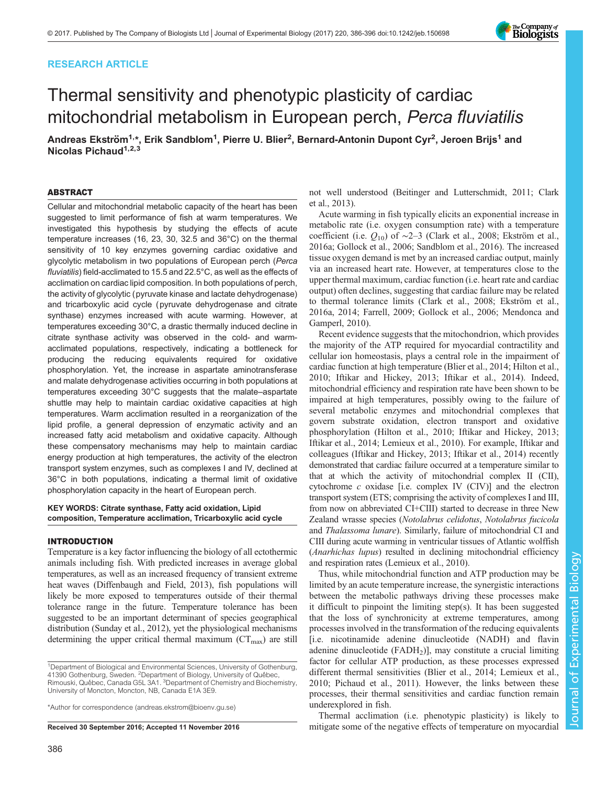# RESEARCH ARTICLE

# Thermal sensitivity and phenotypic plasticity of cardiac mitochondrial metabolism in European perch, Perca fluviatilis

Andreas Ekström<sup>1,</sup>\*, Erik Sandblom<sup>1</sup>, Pierre U. Blier<sup>2</sup>, Bernard-Antonin Dupont Cyr<sup>2</sup>, Jeroen Brijs<sup>1</sup> and Nicolas Pichaud $1,2,3$ 

## ABSTRACT

Cellular and mitochondrial metabolic capacity of the heart has been suggested to limit performance of fish at warm temperatures. We investigated this hypothesis by studying the effects of acute temperature increases (16, 23, 30, 32.5 and 36°C) on the thermal sensitivity of 10 key enzymes governing cardiac oxidative and glycolytic metabolism in two populations of European perch (Perca fluviatilis) field-acclimated to 15.5 and 22.5°C, as well as the effects of acclimation on cardiac lipid composition. In both populations of perch, the activity of glycolytic (pyruvate kinase and lactate dehydrogenase) and tricarboxylic acid cycle (pyruvate dehydrogenase and citrate synthase) enzymes increased with acute warming. However, at temperatures exceeding 30°C, a drastic thermally induced decline in citrate synthase activity was observed in the cold- and warmacclimated populations, respectively, indicating a bottleneck for producing the reducing equivalents required for oxidative phosphorylation. Yet, the increase in aspartate aminotransferase and malate dehydrogenase activities occurring in both populations at temperatures exceeding 30°C suggests that the malate–aspartate shuttle may help to maintain cardiac oxidative capacities at high temperatures. Warm acclimation resulted in a reorganization of the lipid profile, a general depression of enzymatic activity and an increased fatty acid metabolism and oxidative capacity. Although these compensatory mechanisms may help to maintain cardiac energy production at high temperatures, the activity of the electron transport system enzymes, such as complexes I and IV, declined at 36°C in both populations, indicating a thermal limit of oxidative phosphorylation capacity in the heart of European perch.

## KEY WORDS: Citrate synthase, Fatty acid oxidation, Lipid composition, Temperature acclimation, Tricarboxylic acid cycle

#### INTRODUCTION

Temperature is a key factor influencing the biology of all ectothermic animals including fish. With predicted increases in average global temperatures, as well as an increased frequency of transient extreme heat waves [\(Diffenbaugh and Field, 2013\)](#page-9-0), fish populations will likely be more exposed to temperatures outside of their thermal tolerance range in the future. Temperature tolerance has been suggested to be an important determinant of species geographical distribution ([Sunday et al., 2012](#page-10-0)), yet the physiological mechanisms determining the upper critical thermal maximum  $(CT_{max})$  are still

\*Author for correspondence [\(andreas.ekstrom@bioenv.gu.se\)](mailto:andreas.ekstrom@bioenv.gu.se)

not well understood ([Beitinger and Lutterschmidt, 2011; Clark](#page-9-0) [et al., 2013\)](#page-9-0).

Acute warming in fish typically elicits an exponential increase in metabolic rate (i.e. oxygen consumption rate) with a temperature coefficient (i.e.  $Q_{10}$ ) of ~2–3 ([Clark et al., 2008](#page-9-0); [Ekström et al.,](#page-10-0) [2016a](#page-10-0); [Gollock et al., 2006](#page-10-0); [Sandblom et al., 2016\)](#page-10-0). The increased tissue oxygen demand is met by an increased cardiac output, mainly via an increased heart rate. However, at temperatures close to the upper thermal maximum, cardiac function (i.e. heart rate and cardiac output) often declines, suggesting that cardiac failure may be related to thermal tolerance limits [\(Clark et al., 2008](#page-9-0); [Ekström et al.,](#page-10-0) [2016a](#page-10-0), [2014](#page-9-0); [Farrell, 2009; Gollock et al., 2006; Mendonca and](#page-10-0) [Gamperl, 2010\)](#page-10-0).

Recent evidence suggests that the mitochondrion, which provides the majority of the ATP required for myocardial contractility and cellular ion homeostasis, plays a central role in the impairment of cardiac function at high temperature [\(Blier et al., 2014;](#page-9-0) [Hilton et al.,](#page-10-0) [2010; Iftikar and Hickey, 2013](#page-10-0); [Iftikar et al., 2014\)](#page-10-0). Indeed, mitochondrial efficiency and respiration rate have been shown to be impaired at high temperatures, possibly owing to the failure of several metabolic enzymes and mitochondrial complexes that govern substrate oxidation, electron transport and oxidative phosphorylation ([Hilton et al., 2010; Iftikar and Hickey, 2013](#page-10-0); [Iftikar et al., 2014](#page-10-0); [Lemieux et al., 2010](#page-10-0)). For example, Iftikar and colleagues ([Iftikar and Hickey, 2013](#page-10-0); [Iftikar et al., 2014\)](#page-10-0) recently demonstrated that cardiac failure occurred at a temperature similar to that at which the activity of mitochondrial complex II (CII), cytochrome  $c$  oxidase [i.e. complex IV (CIV)] and the electron transport system (ETS; comprising the activity of complexes I and III, from now on abbreviated CI+CIII) started to decrease in three New Zealand wrasse species (Notolabrus celidotus, Notolabrus fucicola and Thalassoma lunare). Similarly, failure of mitochondrial CI and CIII during acute warming in ventricular tissues of Atlantic wolffish (Anarhichas lupus) resulted in declining mitochondrial efficiency and respiration rates ([Lemieux et al., 2010\)](#page-10-0).

Thus, while mitochondrial function and ATP production may be limited by an acute temperature increase, the synergistic interactions between the metabolic pathways driving these processes make it difficult to pinpoint the limiting step(s). It has been suggested that the loss of synchronicity at extreme temperatures, among processes involved in the transformation of the reducing equivalents [i.e. nicotinamide adenine dinucleotide (NADH) and flavin adenine dinucleotide  $(FADH<sub>2</sub>)$ , may constitute a crucial limiting factor for cellular ATP production, as these processes expressed different thermal sensitivities [\(Blier et al., 2014](#page-9-0); [Lemieux et al.,](#page-10-0) [2010; Pichaud et al., 2011](#page-10-0)). However, the links between these processes, their thermal sensitivities and cardiac function remain underexplored in fish.

Thermal acclimation (i.e. phenotypic plasticity) is likely to Received 30 September 2016; Accepted 11 November 2016 mitigate some of the negative effects of temperature on myocardial



<sup>&</sup>lt;sup>1</sup>Department of Biological and Environmental Sciences, University of Gothenburg, 41390 Gothenburg, Sweden. <sup>2</sup>Department of Biology, University of Québec, Rimouski, Québec, Canada G5L 3A1. <sup>3</sup>Department of Chemistry and Biochemistry, University of Moncton, Moncton, NB, Canada E1A 3E9.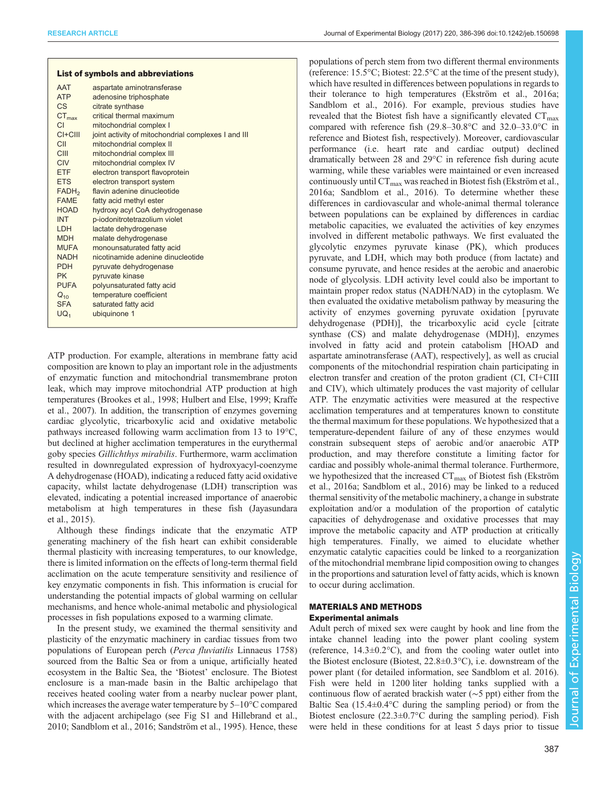| <b>List of symbols and abbreviations</b> |                                                     |  |  |  |  |
|------------------------------------------|-----------------------------------------------------|--|--|--|--|
| <b>AAT</b>                               | aspartate aminotransferase                          |  |  |  |  |
| <b>ATP</b>                               | adenosine triphosphate                              |  |  |  |  |
| <b>CS</b>                                | citrate synthase                                    |  |  |  |  |
| $CT_{max}$                               | critical thermal maximum                            |  |  |  |  |
| CI.                                      | mitochondrial complex I                             |  |  |  |  |
| $CI+CIII$                                | joint activity of mitochondrial complexes I and III |  |  |  |  |
| CII                                      | mitochondrial complex II                            |  |  |  |  |
| CIII                                     | mitochondrial complex III                           |  |  |  |  |
| <b>CIV</b>                               | mitochondrial complex IV                            |  |  |  |  |
| <b>FTF</b>                               | electron transport flavoprotein                     |  |  |  |  |
| <b>ETS</b>                               | electron transport system                           |  |  |  |  |
| FADH <sub>2</sub>                        | flavin adenine dinucleotide                         |  |  |  |  |
| <b>FAMF</b>                              | fatty acid methyl ester                             |  |  |  |  |
| <b>HOAD</b>                              | hydroxy acyl CoA dehydrogenase                      |  |  |  |  |
| <b>INT</b>                               | p-iodonitrotetrazolium violet                       |  |  |  |  |
| <b>LDH</b>                               | lactate dehydrogenase                               |  |  |  |  |
| <b>MDH</b>                               | malate dehydrogenase                                |  |  |  |  |
| <b>MUFA</b>                              | monounsaturated fatty acid                          |  |  |  |  |
| <b>NADH</b>                              | nicotinamide adenine dinucleotide                   |  |  |  |  |
| <b>PDH</b>                               | pyruvate dehydrogenase                              |  |  |  |  |
| <b>PK</b>                                | pyruvate kinase                                     |  |  |  |  |
| <b>PUFA</b>                              | polyunsaturated fatty acid                          |  |  |  |  |
| $Q_{10}$                                 | temperature coefficient                             |  |  |  |  |
| <b>SFA</b>                               | saturated fatty acid                                |  |  |  |  |
| UQ <sub>1</sub>                          | ubiquinone 1                                        |  |  |  |  |
|                                          |                                                     |  |  |  |  |

ATP production. For example, alterations in membrane fatty acid composition are known to play an important role in the adjustments of enzymatic function and mitochondrial transmembrane proton leak, which may improve mitochondrial ATP production at high temperatures ([Brookes et al., 1998;](#page-9-0) [Hulbert and Else, 1999; Kraffe](#page-10-0) [et al., 2007](#page-10-0)). In addition, the transcription of enzymes governing cardiac glycolytic, tricarboxylic acid and oxidative metabolic pathways increased following warm acclimation from 13 to 19°C, but declined at higher acclimation temperatures in the eurythermal goby species Gillichthys mirabilis. Furthermore, warm acclimation resulted in downregulated expression of hydroxyacyl-coenzyme A dehydrogenase (HOAD), indicating a reduced fatty acid oxidative capacity, whilst lactate dehydrogenase (LDH) transcription was elevated, indicating a potential increased importance of anaerobic metabolism at high temperatures in these fish [\(Jayasundara](#page-10-0) [et al., 2015\)](#page-10-0).

Although these findings indicate that the enzymatic ATP generating machinery of the fish heart can exhibit considerable thermal plasticity with increasing temperatures, to our knowledge, there is limited information on the effects of long-term thermal field acclimation on the acute temperature sensitivity and resilience of key enzymatic components in fish. This information is crucial for understanding the potential impacts of global warming on cellular mechanisms, and hence whole-animal metabolic and physiological processes in fish populations exposed to a warming climate.

In the present study, we examined the thermal sensitivity and plasticity of the enzymatic machinery in cardiac tissues from two populations of European perch (Perca fluviatilis Linnaeus 1758) sourced from the Baltic Sea or from a unique, artificially heated ecosystem in the Baltic Sea, the 'Biotest' enclosure. The Biotest enclosure is a man-made basin in the Baltic archipelago that receives heated cooling water from a nearby nuclear power plant, which increases the average water temperature by 5–10°C compared with the adjacent archipelago (see [Fig S1](http://jeb.biologists.org/lookup/doi/10.1242/jeb.150698.supplemental) and [Hillebrand et al.,](#page-10-0) [2010](#page-10-0); [Sandblom et al., 2016; Sandström et al., 1995](#page-10-0)). Hence, these

populations of perch stem from two different thermal environments (reference: 15.5°C; Biotest: 22.5°C at the time of the present study), which have resulted in differences between populations in regards to their tolerance to high temperatures ([Ekström et al., 2016a](#page-10-0); [Sandblom et al., 2016\)](#page-10-0). For example, previous studies have revealed that the Biotest fish have a significantly elevated  $CT_{\text{max}}$ compared with reference fish (29.8–30.8°C and 32.0–33.0°C in reference and Biotest fish, respectively). Moreover, cardiovascular performance (i.e. heart rate and cardiac output) declined dramatically between 28 and 29°C in reference fish during acute warming, while these variables were maintained or even increased continuously until  $CT_{max}$  was reached in Biotest fish ([Ekström et al.,](#page-10-0) [2016a](#page-10-0); [Sandblom et al., 2016](#page-10-0)). To determine whether these differences in cardiovascular and whole-animal thermal tolerance between populations can be explained by differences in cardiac metabolic capacities, we evaluated the activities of key enzymes involved in different metabolic pathways. We first evaluated the glycolytic enzymes pyruvate kinase (PK), which produces pyruvate, and LDH, which may both produce (from lactate) and consume pyruvate, and hence resides at the aerobic and anaerobic node of glycolysis. LDH activity level could also be important to maintain proper redox status (NADH/NAD) in the cytoplasm. We then evaluated the oxidative metabolism pathway by measuring the activity of enzymes governing pyruvate oxidation [ pyruvate dehydrogenase (PDH)], the tricarboxylic acid cycle [citrate synthase (CS) and malate dehydrogenase (MDH)], enzymes involved in fatty acid and protein catabolism [HOAD and aspartate aminotransferase (AAT), respectively], as well as crucial components of the mitochondrial respiration chain participating in electron transfer and creation of the proton gradient (CI, CI+CIII and CIV), which ultimately produces the vast majority of cellular ATP. The enzymatic activities were measured at the respective acclimation temperatures and at temperatures known to constitute the thermal maximum for these populations. We hypothesized that a temperature-dependent failure of any of these enzymes would constrain subsequent steps of aerobic and/or anaerobic ATP production, and may therefore constitute a limiting factor for cardiac and possibly whole-animal thermal tolerance. Furthermore, we hypothesized that the increased  $CT_{\text{max}}$  of Biotest fish [\(Ekström](#page-10-0) [et al., 2016a](#page-10-0); [Sandblom et al., 2016\)](#page-10-0) may be linked to a reduced thermal sensitivity of the metabolic machinery, a change in substrate exploitation and/or a modulation of the proportion of catalytic capacities of dehydrogenase and oxidative processes that may improve the metabolic capacity and ATP production at critically high temperatures. Finally, we aimed to elucidate whether enzymatic catalytic capacities could be linked to a reorganization of the mitochondrial membrane lipid composition owing to changes in the proportions and saturation level of fatty acids, which is known to occur during acclimation.

# MATERIALS AND METHODS Experimental animals

Adult perch of mixed sex were caught by hook and line from the intake channel leading into the power plant cooling system (reference,  $14.3 \pm 0.2$ °C), and from the cooling water outlet into the Biotest enclosure (Biotest, 22.8±0.3°C), i.e. downstream of the power plant (for detailed information, see [Sandblom et al. 2016\)](#page-10-0). Fish were held in 1200 liter holding tanks supplied with a continuous flow of aerated brackish water (∼5 ppt) either from the Baltic Sea  $(15.4\pm0.4\degree C$  during the sampling period) or from the Biotest enclosure  $(22.3 \pm 0.7^{\circ} \text{C}$  during the sampling period). Fish were held in these conditions for at least 5 days prior to tissue

Experimental Biology

387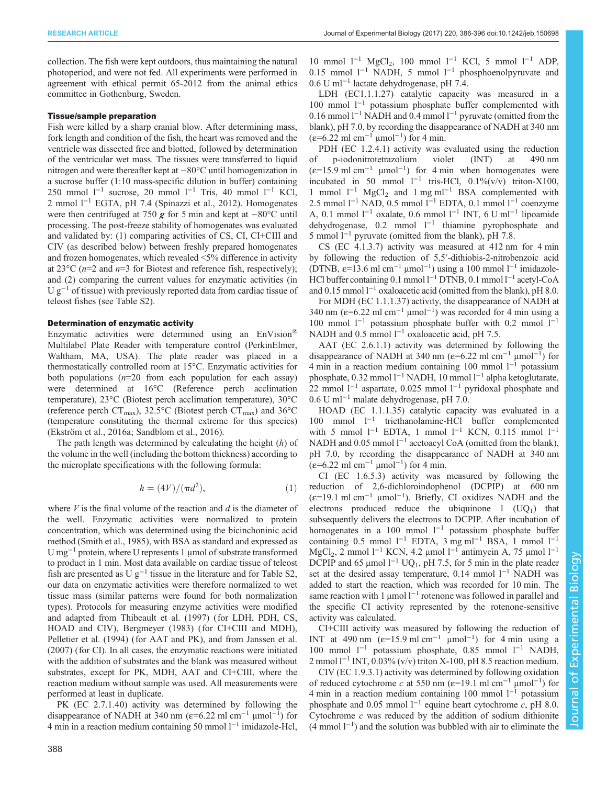collection. The fish were kept outdoors, thus maintaining the natural photoperiod, and were not fed. All experiments were performed in agreement with ethical permit 65-2012 from the animal ethics committee in Gothenburg, Sweden.

## Tissue/sample preparation

Fish were killed by a sharp cranial blow. After determining mass, fork length and condition of the fish, the heart was removed and the ventricle was dissected free and blotted, followed by determination of the ventricular wet mass. The tissues were transferred to liquid nitrogen and were thereafter kept at −80°C until homogenization in a sucrose buffer (1:10 mass-specific dilution in buffer) containing 250 mmol  $l^{-1}$  sucrose, 20 mmol  $l^{-1}$  Tris, 40 mmol  $l^{-1}$  KCl, 2 mmol l−<sup>1</sup> EGTA, pH 7.4 ([Spinazzi et al., 2012](#page-10-0)). Homogenates were then centrifuged at 750 g for 5 min and kept at <sup>−</sup>80°C until processing. The post-freeze stability of homogenates was evaluated and validated by: (1) comparing activities of CS, CI, CI+CIII and CIV (as described below) between freshly prepared homogenates and frozen homogenates, which revealed <5% difference in activity at 23 $^{\circ}$ C (*n*=2 and *n*=3 for Biotest and reference fish, respectively); and (2) comparing the current values for enzymatic activities (in  $U g^{-1}$  of tissue) with previously reported data from cardiac tissue of teleost fishes (see [Table S2](http://jeb.biologists.org/lookup/doi/10.1242/jeb.150698.supplemental)).

#### Determination of enzymatic activity

Enzymatic activities were determined using an EnVision® Multilabel Plate Reader with temperature control (PerkinElmer, Waltham, MA, USA). The plate reader was placed in a thermostatically controlled room at 15°C. Enzymatic activities for both populations  $(n=20$  from each population for each assay) were determined at 16°C (Reference perch acclimation temperature), 23°C (Biotest perch acclimation temperature), 30°C (reference perch  $CT_{\text{max}}$ ), 32.5°C (Biotest perch  $CT_{\text{max}}$ ) and 36°C (temperature constituting the thermal extreme for this species) [\(Ekström et al., 2016a](#page-10-0); [Sandblom et al., 2016\)](#page-10-0).

The path length was determined by calculating the height  $(h)$  of the volume in the well (including the bottom thickness) according to the microplate specifications with the following formula:

$$
h = (4V)/(\pi d^2),\tag{1}
$$

where  $V$  is the final volume of the reaction and  $d$  is the diameter of the well. Enzymatic activities were normalized to protein concentration, which was determined using the bicinchoninic acid method [\(Smith et al., 1985](#page-10-0)), with BSA as standard and expressed as U mg−<sup>1</sup> protein, where U represents 1 μmol of substrate transformed to product in 1 min. Most data available on cardiac tissue of teleost fish are presented as U  $g^{-1}$  tissue in the literature and for [Table S2,](http://jeb.biologists.org/lookup/doi/10.1242/jeb.150698.supplemental) our data on enzymatic activities were therefore normalized to wet tissue mass (similar patterns were found for both normalization types). Protocols for measuring enzyme activities were modified and adapted from [Thibeault et al. \(1997\)](#page-10-0) (for LDH, PDH, CS, HOAD and CIV), [Bergmeyer \(1983\)](#page-9-0) (for CI+CIII and MDH), [Pelletier et al. \(1994\)](#page-10-0) (for AAT and PK), and from [Janssen et al.](#page-10-0) [\(2007\)](#page-10-0) (for CI). In all cases, the enzymatic reactions were initiated with the addition of substrates and the blank was measured without substrates, except for PK, MDH, AAT and CI+CIII, where the reaction medium without sample was used. All measurements were performed at least in duplicate.

PK (EC 2.7.1.40) activity was determined by following the disappearance of NADH at 340 nm ( $\varepsilon$ =6.22 ml cm<sup>-1</sup> µmol<sup>-1</sup>) for 4 min in a reaction medium containing 50 mmol l−<sup>1</sup> imidazole-Hcl,

10 mmol  $l^{-1}$  MgCl<sub>2</sub>, 100 mmol  $l^{-1}$  KCl, 5 mmol  $l^{-1}$  ADP, 0.15 mmol  $l^{-1}$  NADH, 5 mmol  $l^{-1}$  phosphoenolpyruvate and 0.6 U ml−<sup>1</sup> lactate dehydrogenase, pH 7.4.

LDH (EC1.1.1.27) catalytic capacity was measured in a 100 mmol l−<sup>1</sup> potassium phosphate buffer complemented with 0.16 mmol  $l^{-1}$  NADH and 0.4 mmol  $l^{-1}$  pyruvate (omitted from the blank), pH 7.0, by recording the disappearance of NADH at 340 nm (ε=6.22 ml cm−<sup>1</sup> μmol−<sup>1</sup> ) for 4 min.

PDH (EC 1.2.4.1) activity was evaluated using the reduction of p-iodonitrotetrazolium violet (INT) at 490 nm  $(\epsilon=15.9 \text{ ml cm}^{-1} \text{µmol}^{-1})$  for 4 min when homogenates were incubated in 50 mmol  $l^{-1}$  tris-HCl, 0.1%(v/v) triton-X100, 1 mmol  $l^{-1}$  MgCl<sub>2</sub> and 1 mg ml<sup>-1</sup> BSA complemented with 2.5 mmol l−<sup>1</sup> NAD, 0.5 mmol l−<sup>1</sup> EDTA, 0.1 mmol l−<sup>1</sup> coenzyme A, 0.1 mmol  $l^{-1}$  oxalate, 0.6 mmol  $l^{-1}$  INT, 6 U ml<sup>-1</sup> lipoamide dehydrogenase, 0.2 mmol l−<sup>1</sup> thiamine pyrophosphate and 5 mmol l−<sup>1</sup> pyruvate (omitted from the blank), pH 7.8.

CS (EC 4.1.3.7) activity was measured at 412 nm for 4 min by following the reduction of 5,5′-dithiobis-2-nitrobenzoic acid (DTNB,  $\varepsilon$ =13.6 ml cm<sup>-1</sup> µmol<sup>-1</sup>) using a 100 mmol l<sup>-1</sup> imidazole-HCl buffer containing 0.1 mmol l<sup>-1</sup> DTNB, 0.1 mmol l<sup>-1</sup> acetyl-CoA and 0.15 mmol l−<sup>1</sup> oxaloacetic acid (omitted from the blank), pH 8.0.

For MDH (EC 1.1.1.37) activity, the disappearance of NADH at 340 nm ( $\varepsilon$ =6.22 ml cm<sup>-1</sup> µmol<sup>-1</sup>) was recorded for 4 min using a 100 mmol l<sup>−1</sup> potassium phosphate buffer with 0.2 mmol l<sup>−1</sup> NADH and 0.5 mmol l<sup>-1</sup> oxaloacetic acid, pH 7.5.

AAT (EC 2.6.1.1) activity was determined by following the disappearance of NADH at 340 nm ( $\varepsilon$ =6.22 ml cm<sup>-1</sup> µmol<sup>-1</sup>) for 4 min in a reaction medium containing 100 mmol l−<sup>1</sup> potassium phosphate, 0.32 mmol l−<sup>1</sup> NADH, 10 mmol l−<sup>1</sup> alpha ketoglutarate, 22 mmol l<sup>-1</sup> aspartate, 0.025 mmol l<sup>-1</sup> pyridoxal phosphate and 0.6 U ml−<sup>1</sup> malate dehydrogenase, pH 7.0.

HOAD (EC 1.1.1.35) catalytic capacity was evaluated in a 100 mmol l−<sup>1</sup> triethanolamine-HCl buffer complemented with 5 mmol  $l^{-1}$  EDTA, 1 mmol  $l^{-1}$  KCN, 0.115 mmol  $l^{-1}$ NADH and 0.05 mmol l<sup>-1</sup> acetoacyl CoA (omitted from the blank), pH 7.0, by recording the disappearance of NADH at 340 nm (ε=6.22 ml cm−<sup>1</sup> μmol−<sup>1</sup> ) for 4 min.

CI (EC 1.6.5.3) activity was measured by following the reduction of 2,6-dichloroindophenol (DCPIP) at 600 nm (ε=19.1 ml cm−<sup>1</sup> μmol−<sup>1</sup> ). Briefly, CI oxidizes NADH and the electrons produced reduce the ubiquinone  $1 (UQ_1)$  that subsequently delivers the electrons to DCPIP. After incubation of homogenates in a 100 mmol l<sup>-1</sup> potassium phosphate buffer containing 0.5 mmol  $l^{-1}$  EDTA, 3 mg ml<sup>-1</sup> BSA, 1 mmol  $l^{-1}$ MgCl<sub>2</sub>, 2 mmol l<sup>−1</sup> KCN, 4.2 µmol l<sup>−1</sup> antimycin A, 75 µmol l<sup>−1</sup> DCPIP and 65 µmol  $1^{-1}$  UQ<sub>1</sub>, pH 7.5, for 5 min in the plate reader set at the desired assay temperature, 0.14 mmol <sup>1-1</sup> NADH was added to start the reaction, which was recorded for 10 min. The same reaction with 1 μmol l<sup>−1</sup> rotenone was followed in parallel and the specific CI activity represented by the rotenone-sensitive activity was calculated.

CI+CIII activity was measured by following the reduction of INT at 490 nm  $(\varepsilon=15.9 \text{ ml cm}^{-1} \text{µmol}^{-1})$  for 4 min using a 100 mmol l−<sup>1</sup> potassium phosphate, 0.85 mmol l−<sup>1</sup> NADH, 2 mmol l<sup>-1</sup> INT, 0.03% (v/v) triton X-100, pH 8.5 reaction medium.

CIV (EC 1.9.3.1) activity was determined by following oxidation of reduced cytochrome c at 550 nm ( $\varepsilon$ =19.1 ml cm<sup>-1</sup> µmol<sup>-1</sup>) for 4 min in a reaction medium containing 100 mmol  $1^{-1}$  potassium phosphate and 0.05 mmol  $l^{-1}$  equine heart cytochrome c, pH 8.0. Cytochrome  $c$  was reduced by the addition of sodium dithionite (4 mmol l−<sup>1</sup> ) and the solution was bubbled with air to eliminate the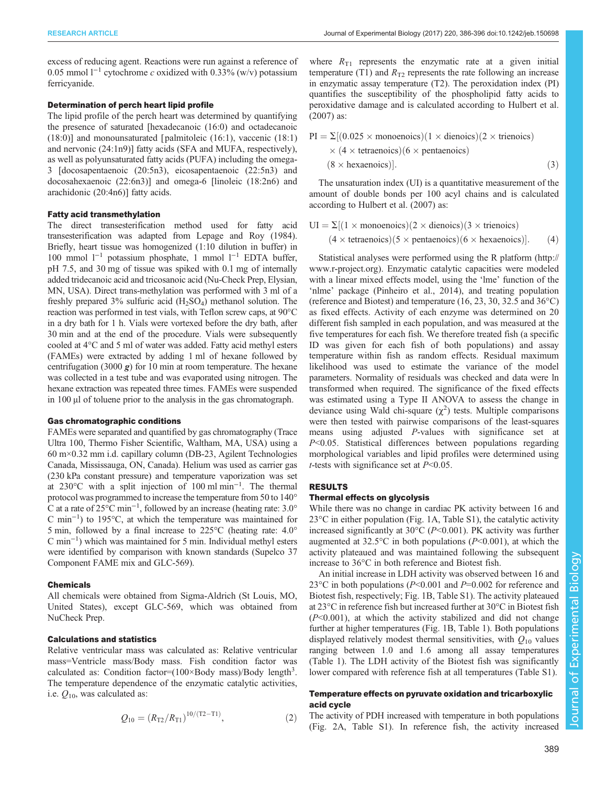excess of reducing agent. Reactions were run against a reference of 0.05 mmol  $l^{-1}$  cytochrome c oxidized with 0.33% (w/v) potassium ferricyanide.

## Determination of perch heart lipid profile

The lipid profile of the perch heart was determined by quantifying the presence of saturated [hexadecanoic (16:0) and octadecanoic (18:0)] and monounsaturated [ palmitoleic (16:1), vaccenic (18:1) and nervonic (24:1n9)] fatty acids (SFA and MUFA, respectively), as well as polyunsaturated fatty acids (PUFA) including the omega-3 [docosapentaenoic (20:5n3), eicosapentaenoic (22:5n3) and docosahexaenoic (22:6n3)] and omega-6 [linoleic (18:2n6) and arachidonic (20:4n6)] fatty acids.

## Fatty acid transmethylation

The direct transesterification method used for fatty acid transesterification was adapted from [Lepage and Roy \(1984\).](#page-10-0) Briefly, heart tissue was homogenized (1:10 dilution in buffer) in 100 mmol l−<sup>1</sup> potassium phosphate, 1 mmol l−<sup>1</sup> EDTA buffer, pH 7.5, and 30 mg of tissue was spiked with 0.1 mg of internally added tridecanoic acid and tricosanoic acid (Nu-Check Prep, Elysian, MN, USA). Direct trans-methylation was performed with 3 ml of a freshly prepared  $3\%$  sulfuric acid  $(H_2SO_4)$  methanol solution. The reaction was performed in test vials, with Teflon screw caps, at 90°C in a dry bath for 1 h. Vials were vortexed before the dry bath, after 30 min and at the end of the procedure. Vials were subsequently cooled at 4°C and 5 ml of water was added. Fatty acid methyl esters (FAMEs) were extracted by adding 1 ml of hexane followed by centrifugation (3000  $g$ ) for 10 min at room temperature. The hexane was collected in a test tube and was evaporated using nitrogen. The hexane extraction was repeated three times. FAMEs were suspended in 100 μl of toluene prior to the analysis in the gas chromatograph.

#### Gas chromatographic conditions

FAMEs were separated and quantified by gas chromatography (Trace Ultra 100, Thermo Fisher Scientific, Waltham, MA, USA) using a 60 m×0.32 mm i.d. capillary column (DB-23, Agilent Technologies Canada, Mississauga, ON, Canada). Helium was used as carrier gas (230 kPa constant pressure) and temperature vaporization was set at 230°C with a split injection of 100 ml min−<sup>1</sup> . The thermal protocol was programmed to increase the temperature from 50 to 140° C at a rate of 25 $^{\circ}$ C min<sup>-1</sup>, followed by an increase (heating rate: 3.0 $^{\circ}$ C min−<sup>1</sup> ) to 195°C, at which the temperature was maintained for 5 min, followed by a final increase to 225°C (heating rate: 4.0° C min−<sup>1</sup> ) which was maintained for 5 min. Individual methyl esters were identified by comparison with known standards (Supelco 37 Component FAME mix and GLC-569).

#### Chemicals

All chemicals were obtained from Sigma-Aldrich (St Louis, MO, United States), except GLC-569, which was obtained from NuCheck Prep.

## Calculations and statistics

Relative ventricular mass was calculated as: Relative ventricular mass=Ventricle mass/Body mass. Fish condition factor was calculated as: Condition factor= $(100 \times \text{Body mass})/\text{Body length}^3$ . The temperature dependence of the enzymatic catalytic activities, i.e.  $Q_{10}$ , was calculated as:

$$
Q_{10} = (R_{T2}/R_{T1})^{10/(T2-T1)},
$$
\n(2)

where  $R_{T1}$  represents the enzymatic rate at a given initial temperature (T1) and  $R_{T2}$  represents the rate following an increase in enzymatic assay temperature (T2). The peroxidation index (PI) quantifies the susceptibility of the phospholipid fatty acids to peroxidative damage and is calculated according to [Hulbert et al.](#page-10-0) [\(2007\)](#page-10-0) as:

PI = 
$$
\Sigma
$$
[(0.025 × monoenoics)(1 × dienoics)(2 × trienoics)  
\n× (4 × tetraenoics)(6 × pentaenoics)  
\n(8 × hexaenoics)]. (3)

The unsaturation index (UI) is a quantitative measurement of the amount of double bonds per 100 acyl chains and is calculated according to [Hulbert et al. \(2007\)](#page-10-0) as:

$$
UI = \Sigma[(1 \times monoenocis)(2 \times dienocis)(3 \times trienocis)]
$$
  
(4 \times tetraenocis)(5 \times pentaencics)(6 \times hexaencics)]. (4)

Statistical analyses were performed using the R platform ([http://](http://www.r-project.org) [www.r-project.org\)](http://www.r-project.org). Enzymatic catalytic capacities were modeled with a linear mixed effects model, using the 'lme' function of the 'nlme' package ([Pinheiro et al., 2014\)](#page-10-0), and treating population (reference and Biotest) and temperature (16, 23, 30, 32.5 and 36°C) as fixed effects. Activity of each enzyme was determined on 20 different fish sampled in each population, and was measured at the five temperatures for each fish. We therefore treated fish (a specific ID was given for each fish of both populations) and assay temperature within fish as random effects. Residual maximum likelihood was used to estimate the variance of the model parameters. Normality of residuals was checked and data were ln transformed when required. The significance of the fixed effects was estimated using a Type II ANOVA to assess the change in deviance using Wald chi-square  $(\chi^2)$  tests. Multiple comparisons were then tested with pairwise comparisons of the least-squares means using adjusted P-values with significance set at P<0.05. Statistical differences between populations regarding morphological variables and lipid profiles were determined using *t*-tests with significance set at  $P<0.05$ .

## RESULTS

#### Thermal effects on glycolysis

While there was no change in cardiac PK activity between 16 and  $23^{\circ}$ C in either population [\(Fig. 1](#page-4-0)A, [Table S1](http://jeb.biologists.org/lookup/doi/10.1242/jeb.150698.supplemental)), the catalytic activity increased significantly at  $30^{\circ}$ C (P<0.001). PK activity was further augmented at  $32.5^{\circ}$ C in both populations (P<0.001), at which the activity plateaued and was maintained following the subsequent increase to 36°C in both reference and Biotest fish.

An initial increase in LDH activity was observed between 16 and 23 $^{\circ}$ C in both populations (P<0.001 and P=0.002 for reference and Biotest fish, respectively; [Fig. 1](#page-4-0)B, [Table S1](http://jeb.biologists.org/lookup/doi/10.1242/jeb.150698.supplemental)). The activity plateaued at 23°C in reference fish but increased further at 30°C in Biotest fish  $(P<0.001)$ , at which the activity stabilized and did not change further at higher temperatures [\(Fig. 1](#page-4-0)B, [Table 1](#page-4-0)). Both populations displayed relatively modest thermal sensitivities, with  $Q_{10}$  values ranging between 1.0 and 1.6 among all assay temperatures [\(Table 1](#page-4-0)). The LDH activity of the Biotest fish was significantly lower compared with reference fish at all temperatures [\(Table S1\)](http://jeb.biologists.org/lookup/doi/10.1242/jeb.150698.supplemental).

## Temperature effects on pyruvate oxidation and tricarboxylic acid cycle

The activity of PDH increased with temperature in both populations [\(Fig. 2](#page-5-0)A, [Table S1](http://jeb.biologists.org/lookup/doi/10.1242/jeb.150698.supplemental)). In reference fish, the activity increased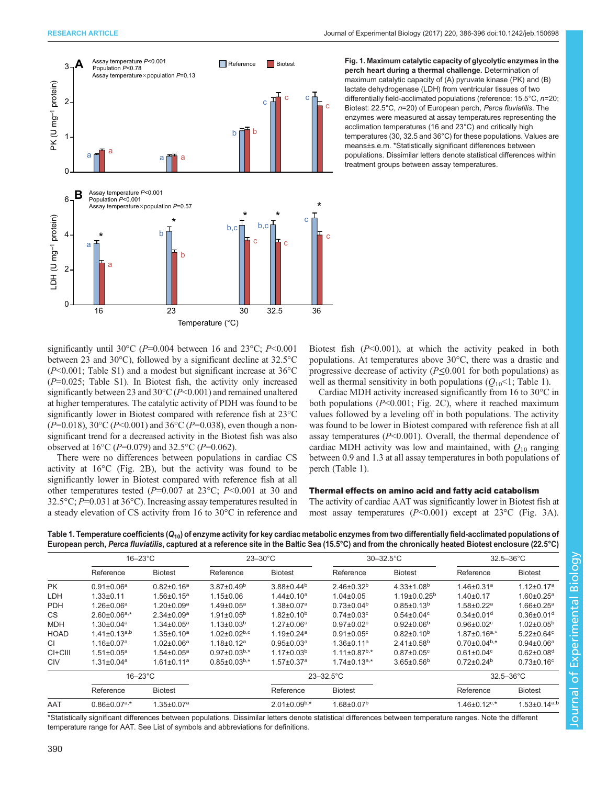<span id="page-4-0"></span>

Fig. 1. Maximum catalytic capacity of glycolytic enzymes in the perch heart during a thermal challenge. Determination of maximum catalytic capacity of (A) pyruvate kinase (PK) and (B) lactate dehydrogenase (LDH) from ventricular tissues of two differentially field-acclimated populations (reference: 15.5°C, n=20; Biotest: 22.5°C, n=20) of European perch, Perca fluviatilis. The enzymes were measured at assay temperatures representing the acclimation temperatures (16 and 23°C) and critically high temperatures (30, 32.5 and 36°C) for these populations. Values are means±s.e.m. \*Statistically significant differences between populations. Dissimilar letters denote statistical differences within treatment groups between assay temperatures.

significantly until 30°C ( $P=0.004$  between 16 and 23°C;  $P<0.001$ between 23 and 30°C), followed by a significant decline at 32.5°C  $(P<0.001$ ; [Table S1](http://jeb.biologists.org/lookup/doi/10.1242/jeb.150698.supplemental)) and a modest but significant increase at 36 $\degree$ C  $(P=0.025;$  [Table S1\)](http://jeb.biologists.org/lookup/doi/10.1242/jeb.150698.supplemental). In Biotest fish, the activity only increased significantly between 23 and 30°C (P<0.001) and remained unaltered at higher temperatures. The catalytic activity of PDH was found to be significantly lower in Biotest compared with reference fish at 23°C  $(P=0.018)$ , 30°C (P<0.001) and 36°C (P=0.038), even though a nonsignificant trend for a decreased activity in the Biotest fish was also observed at 16 $^{\circ}$ C (P=0.079) and 32.5 $^{\circ}$ C (P=0.062).

There were no differences between populations in cardiac CS activity at 16°C [\(Fig. 2](#page-5-0)B), but the activity was found to be significantly lower in Biotest compared with reference fish at all other temperatures tested ( $P=0.007$  at 23°C;  $P<0.001$  at 30 and 32.5°C; P=0.031 at 36°C). Increasing assay temperatures resulted in a steady elevation of CS activity from 16 to 30°C in reference and

Biotest fish  $(P<0.001)$ , at which the activity peaked in both populations. At temperatures above 30°C, there was a drastic and progressive decrease of activity ( $P \le 0.001$  for both populations) as well as thermal sensitivity in both populations  $(Q_{10} < 1$ ; Table 1).

Cardiac MDH activity increased significantly from 16 to 30°C in both populations  $(P<0.001$ ; [Fig. 2C](#page-5-0)), where it reached maximum values followed by a leveling off in both populations. The activity was found to be lower in Biotest compared with reference fish at all assay temperatures  $(P<0.001)$ . Overall, the thermal dependence of cardiac MDH activity was low and maintained, with  $Q_{10}$  ranging between 0.9 and 1.3 at all assay temperatures in both populations of perch (Table 1).

## Thermal effects on amino acid and fatty acid catabolism

The activity of cardiac AAT was significantly lower in Biotest fish at most assay temperatures (P<0.001) except at 23°C ([Fig. 3](#page-6-0)A).

Table 1. Temperature coefficients ( $Q_{10}$ ) of enzyme activity for key cardiac metabolic enzymes from two differentially field-acclimated populations of European perch, Perca fluviatilis, captured at a reference site in the Baltic Sea (15.5°C) and from the chronically heated Biotest enclosure (22.5°C)  $16-23^{\circ}$ C  $23-30^{\circ}$ C  $30-32.5^{\circ}$ C  $32.5-36^{\circ}$ C  $32.5-36^{\circ}$ C

|               | $16-23$ °C                     |                   | $23 - 30^{\circ}$ C            |                              | $30 - 32.5$ °C               |                              | $32.5 - 36^{\circ}$ C          |                              |
|---------------|--------------------------------|-------------------|--------------------------------|------------------------------|------------------------------|------------------------------|--------------------------------|------------------------------|
|               | Reference                      | <b>Biotest</b>    | Reference                      | <b>Biotest</b>               | Reference                    | <b>Biotest</b>               | Reference                      | <b>Biotest</b>               |
| <b>PK</b>     | $0.91 \pm 0.06^a$              | $0.82 \pm 0.16^a$ | $3.87 \pm 0.49^b$              | $3.88 \pm 0.44^b$            | $2.46\pm0.32^{b}$            | $4.33 \pm 1.08^{b}$          | $1.46 \pm 0.31$ <sup>a</sup>   | $1.12 \pm 0.17$ <sup>a</sup> |
| LDH           | $1.33 \pm 0.11$                | $1.56 \pm 0.15^a$ | $1.15 \pm 0.06$                | $1.44 \pm 0.10^a$            | $1.04 \pm 0.05$              | $1.19\pm0.0.25^{b}$          | $1.40 \pm 0.17$                | $1.60 \pm 0.25$ <sup>a</sup> |
| <b>PDH</b>    | $1.26 \pm 0.06^a$              | $1.20 \pm 0.09^a$ | $1.49 \pm 0.05^a$              | $1.38 \pm 0.07$ <sup>a</sup> | $0.73 \pm 0.04^b$            | $0.85 \pm 0.13^{b}$          | $1.58 \pm 0.22$ <sup>a</sup>   | $1.66 \pm 0.25$ <sup>a</sup> |
| <b>CS</b>     | $2.60 \pm 0.06$ <sup>a,*</sup> | $2.34 \pm 0.09^a$ | $1.91 \pm 0.05^{\rm b}$        | $1.82 \pm 0.10^b$            | $0.74 \pm 0.03$ <sup>c</sup> | $0.54 \pm 0.04$ <sup>c</sup> | $0.34 \pm 0.01$ <sup>d</sup>   | $0.36 \pm 0.01$ <sup>d</sup> |
| <b>MDH</b>    | $1.30 \pm 0.04$ <sup>a</sup>   | $1.34 \pm 0.05^a$ | $1.13 \pm 0.03^b$              | $1.27 \pm 0.06^a$            | $0.97 \pm 0.02$ <sup>c</sup> | $0.92\pm0.06^{b}$            | $0.96 \pm 0.02$ <sup>c</sup>   | $1.02 \pm 0.05^{\rm b}$      |
| <b>HOAD</b>   | $1.41 \pm 0.13^{a,b}$          | $1.35 \pm 0.10^a$ | $1.02 \pm 0.02$ <sub>b,c</sub> | $1.19 \pm 0.24$ <sup>a</sup> | $0.91 \pm 0.05$ <sup>c</sup> | $0.82\pm0.10^{b}$            | $1.87 \pm 0.16$ <sup>a,*</sup> | $5.22 \pm 0.64$ <sup>c</sup> |
| <sub>CI</sub> | $1.16 \pm 0.07$ <sup>a</sup>   | $1.02 \pm 0.06^a$ | $1.18 \pm 0.12$ <sup>a</sup>   | $0.95 \pm 0.03$ <sup>a</sup> | $1.36 \pm 0.11$ <sup>a</sup> | $2.41 \pm 0.58$ <sup>b</sup> | $0.70\pm0.04^{b,*}$            | $0.94 \pm 0.06^a$            |
| CI+CIII       | $1.51 \pm 0.05^a$              | $1.54 \pm 0.05^a$ | $0.97 \pm 0.03^{b,*}$          | $1.17 \pm 0.03^b$            | $1.11 \pm 0.87^{b,*}$        | $0.87 \pm 0.05$ <sup>c</sup> | $0.61 \pm 0.04$ <sup>c</sup>   | $0.62 \pm 0.08$ <sup>d</sup> |
| <b>CIV</b>    | $1.31 \pm 0.04^a$              | $1.61 \pm 0.11^a$ | $0.85 \pm 0.03^{b,*}$          | $1.57 \pm 0.37$ <sup>a</sup> | $1.74 \pm 0.13^{a,*}$        | $3.65 \pm 0.56^b$            | $0.72 \pm 0.24^b$              | $0.73 \pm 0.16^{\circ}$      |
|               | $16 - 23$ °C                   |                   |                                | $23 - 32.5$ °C               |                              |                              | $32.5 - 36^{\circ}$ C          |                              |
|               | Reference                      | <b>Biotest</b>    |                                | Reference                    | <b>Biotest</b>               |                              | Reference                      | <b>Biotest</b>               |
| AAT           | $0.86 \pm 0.07^{a,*}$          | $1.35 \pm 0.07^a$ |                                | $2.01 \pm 0.09^{b,*}$        | $1.68 \pm 0.07^b$            |                              | $1.46 \pm 0.12$ <sup>c,*</sup> | $1.53 \pm 0.14^{a,b}$        |

\*Statistically significant differences between populations. Dissimilar letters denote statistical differences between temperature ranges. Note the different temperature range for AAT. See List of symbols and abbreviations for definitions.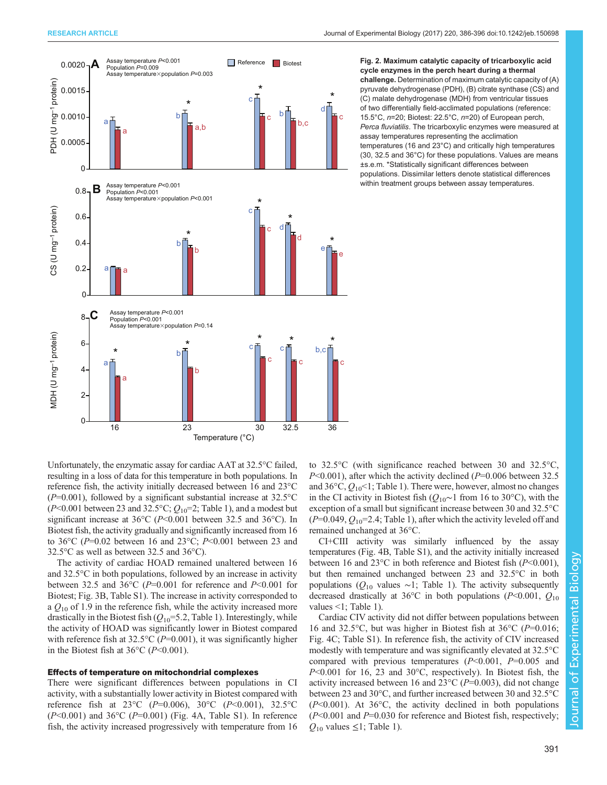<span id="page-5-0"></span>

Fig. 2. Maximum catalytic capacity of tricarboxylic acid cycle enzymes in the perch heart during a thermal challenge. Determination of maximum catalytic capacity of (A) pyruvate dehydrogenase (PDH), (B) citrate synthase (CS) and (C) malate dehydrogenase (MDH) from ventricular tissues of two differentially field-acclimated populations (reference: 15.5°C, n=20; Biotest: 22.5°C, n=20) of European perch, Perca fluviatilis. The tricarboxylic enzymes were measured at assay temperatures representing the acclimation temperatures (16 and 23°C) and critically high temperatures (30, 32.5 and 36°C) for these populations. Values are means ±s.e.m. \*Statistically significant differences between populations. Dissimilar letters denote statistical differences within treatment groups between assay temperatures.

Unfortunately, the enzymatic assay for cardiac AAT at 32.5°C failed, resulting in a loss of data for this temperature in both populations. In reference fish, the activity initially decreased between 16 and 23°C  $(P=0.001)$ , followed by a significant substantial increase at 32.5°C ( $P<0.001$  between 23 and 32.5°C;  $Q_{10}=2$ ; [Table 1\)](#page-4-0), and a modest but significant increase at 36 $\degree$ C (P<0.001 between 32.5 and 36 $\degree$ C). In Biotest fish, the activity gradually and significantly increased from 16 to 36 $^{\circ}$ C (P=0.02 between 16 and 23 $^{\circ}$ C; P<0.001 between 23 and 32.5°C as well as between 32.5 and 36°C).

The activity of cardiac HOAD remained unaltered between 16 and 32.5°C in both populations, followed by an increase in activity between 32.5 and 36 $\degree$ C (P=0.001 for reference and P<0.001 for Biotest; [Fig. 3B](#page-6-0), [Table S1](http://jeb.biologists.org/lookup/doi/10.1242/jeb.150698.supplemental)). The increase in activity corresponded to a  $Q_{10}$  of 1.9 in the reference fish, while the activity increased more drastically in the Biotest fish  $(Q_{10}=5.2,$  [Table 1\)](#page-4-0). Interestingly, while the activity of HOAD was significantly lower in Biotest compared with reference fish at  $32.5^{\circ}$ C (P=0.001), it was significantly higher in the Biotest fish at  $36^{\circ}$ C (P<0.001).

#### Effects of temperature on mitochondrial complexes

There were significant differences between populations in CI activity, with a substantially lower activity in Biotest compared with reference fish at 23°C ( $P=0.006$ ), 30°C ( $P<0.001$ ), 32.5°C  $(P<0.001)$  and 36°C  $(P=0.001)$  [\(Fig. 4](#page-7-0)A, [Table S1\)](http://jeb.biologists.org/lookup/doi/10.1242/jeb.150698.supplemental). In reference fish, the activity increased progressively with temperature from 16 to 32.5°C (with significance reached between 30 and 32.5°C,  $P<0.001$ ), after which the activity declined ( $P=0.006$  between 32.5 and  $36^{\circ}$ C,  $Q_{10}$ <1; [Table 1](#page-4-0)). There were, however, almost no changes in the CI activity in Biotest fish ( $Q_{10}$ ∼1 from 16 to 30°C), with the exception of a small but significant increase between 30 and 32.5°C  $(P=0.049, Q_{10}=2.4;$  [Table 1](#page-4-0)), after which the activity leveled off and remained unchanged at 36°C.

CI+CIII activity was similarly influenced by the assay temperatures [\(Fig. 4](#page-7-0)B, [Table S1\)](http://jeb.biologists.org/lookup/doi/10.1242/jeb.150698.supplemental), and the activity initially increased between 16 and 23°C in both reference and Biotest fish (P<0.001), but then remained unchanged between 23 and 32.5°C in both populations ( $Q_{10}$  values ~1; [Table 1\)](#page-4-0). The activity subsequently decreased drastically at 36°C in both populations (P<0.001,  $Q_{10}$ ) values <1; [Table 1](#page-4-0)).

Cardiac CIV activity did not differ between populations between 16 and 32.5°C, but was higher in Biotest fish at 36°C (P=0.016; [Fig. 4](#page-7-0)C; [Table S1\)](http://jeb.biologists.org/lookup/doi/10.1242/jeb.150698.supplemental). In reference fish, the activity of CIV increased modestly with temperature and was significantly elevated at 32.5°C compared with previous temperatures  $(P<0.001, P=0.005$  and  $P<0.001$  for 16, 23 and 30 $^{\circ}$ C, respectively). In Biotest fish, the activity increased between 16 and 23 $^{\circ}$ C (P=0.003), did not change between 23 and 30°C, and further increased between 30 and 32.5°C  $(P<0.001)$ . At 36°C, the activity declined in both populations  $(P<0.001$  and  $P=0.030$  for reference and Biotest fish, respectively;  $Q_{10}$  values  $\leq$ 1; [Table 1](#page-4-0)).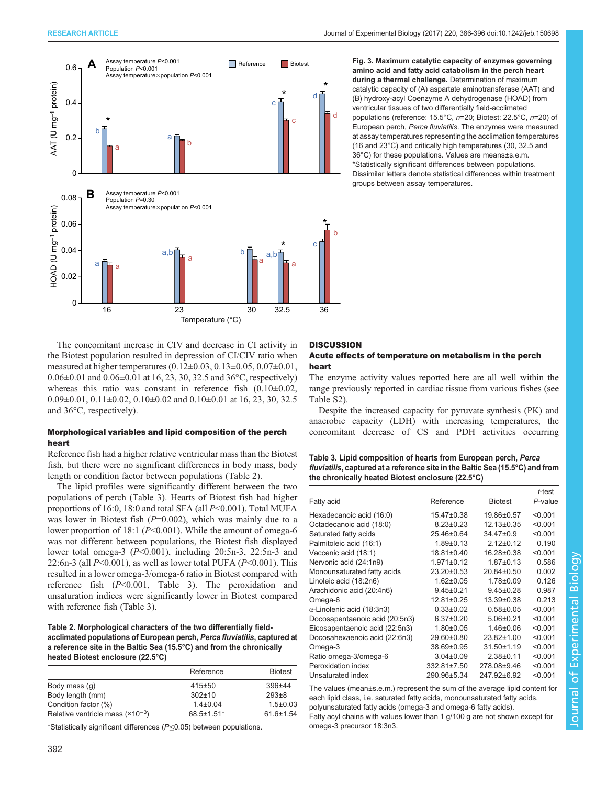<span id="page-6-0"></span>



Fig. 3. Maximum catalytic capacity of enzymes governing amino acid and fatty acid catabolism in the perch heart during a thermal challenge. Determination of maximum catalytic capacity of (A) aspartate aminotransferase (AAT) and (B) hydroxy-acyl Coenzyme A dehydrogenase (HOAD) from ventricular tissues of two differentially field-acclimated populations (reference: 15.5°C, n=20; Biotest: 22.5°C, n=20) of European perch, Perca fluviatilis. The enzymes were measured at assay temperatures representing the acclimation temperatures (16 and 23°C) and critically high temperatures (30, 32.5 and 36°C) for these populations. Values are means±s.e.m. \*Statistically significant differences between populations. Dissimilar letters denote statistical differences within treatment groups between assay temperatures.

The concomitant increase in CIV and decrease in CI activity in the Biotest population resulted in depression of CI/CIV ratio when measured at higher temperatures (0.12±0.03, 0.13±0.05, 0.07±0.01, 0.06±0.01 and 0.06±0.01 at 16, 23, 30, 32.5 and 36°C, respectively) whereas this ratio was constant in reference fish  $(0.10\pm0.02,$  $0.09\pm0.01$ ,  $0.11\pm0.02$ ,  $0.10\pm0.02$  and  $0.10\pm0.01$  at 16, 23, 30, 32.5 and 36°C, respectively).

## Morphological variables and lipid composition of the perch heart

Reference fish had a higher relative ventricular mass than the Biotest fish, but there were no significant differences in body mass, body length or condition factor between populations (Table 2).

The lipid profiles were significantly different between the two populations of perch (Table 3). Hearts of Biotest fish had higher proportions of 16:0, 18:0 and total SFA (all  $P<0.001$ ). Total MUFA was lower in Biotest fish  $(P=0.002)$ , which was mainly due to a lower proportion of 18:1 (P<0.001). While the amount of omega-6 was not different between populations, the Biotest fish displayed lower total omega-3  $(P<0.001)$ , including 20:5n-3, 22:5n-3 and 22:6n-3 (all  $P<0.001$ ), as well as lower total PUFA ( $P<0.001$ ). This resulted in a lower omega-3/omega-6 ratio in Biotest compared with reference fish  $(P<0.001$ , Table 3). The peroxidation and unsaturation indices were significantly lower in Biotest compared with reference fish (Table 3).

## Table 2. Morphological characters of the two differentially fieldacclimated populations of European perch, Perca fluviatilis, captured at a reference site in the Baltic Sea (15.5°C) and from the chronically heated Biotest enclosure (22.5°C)

|                                      | Reference      | <b>Biotest</b>  |
|--------------------------------------|----------------|-----------------|
| Body mass (q)                        | $415 + 50$     | 396±44          |
| Body length (mm)                     | $302 \pm 10$   | $293 \pm 8$     |
| Condition factor (%)                 | $1.4 \pm 0.04$ | $1.5 \pm 0.03$  |
| Relative ventricle mass $(x10^{-3})$ | 68.5±1.51*     | $61.6 \pm 1.54$ |

\*Statistically significant differences (P≤0.05) between populations.

# **DISCUSSION**

### Acute effects of temperature on metabolism in the perch heart

The enzyme activity values reported here are all well within the range previously reported in cardiac tissue from various fishes (see [Table S2\)](http://jeb.biologists.org/lookup/doi/10.1242/jeb.150698.supplemental).

Despite the increased capacity for pyruvate synthesis (PK) and anaerobic capacity (LDH) with increasing temperatures, the concomitant decrease of CS and PDH activities occurring

Table 3. Lipid composition of hearts from European perch, Perca fluviatilis, captured at a reference site in the Baltic Sea (15.5°C) and from the chronically heated Biotest enclosure (22.5°C)

|                                   |                  |                  | t-test  |
|-----------------------------------|------------------|------------------|---------|
| Fatty acid                        | Reference        | <b>Biotest</b>   | P-value |
| Hexadecanoic acid (16:0)          | $15.47\pm0.38$   | $19.86 \pm 0.57$ | < 0.001 |
| Octadecanoic acid (18:0)          | $8.23 \pm 0.23$  | 12.13±0.35       | < 0.001 |
| Saturated fatty acids             | 25.46±0.64       | $34.47 \pm 0.9$  | < 0.001 |
| Palmitoleic acid (16:1)           | $1.89 + 0.13$    | $212+012$        | 0.190   |
| Vaccenic acid (18:1)              | $18.81 \pm 0.40$ | $16.28 \pm 0.38$ | < 0.001 |
| Nervonic acid (24:1n9)            | $1.971 \pm 0.12$ | $1.87 \pm 0.13$  | 0.586   |
| Monounsaturated fatty acids       | $23.20 \pm 0.53$ | $20.84 \pm 0.50$ | 0.002   |
| Linoleic acid (18:2n6)            | $1.62 \pm 0.05$  | $1.78 \pm 0.09$  | 0.126   |
| Arachidonic acid (20:4n6)         | $9.45 \pm 0.21$  | $9.45 \pm 0.28$  | 0.987   |
| Omega-6                           | $12.81 \pm 0.25$ | $13.39 \pm 0.38$ | 0.213   |
| $\alpha$ -Linolenic acid (18:3n3) | $0.33 \pm 0.02$  | $0.58 + 0.05$    | < 0.001 |
| Docosapentaenoic acid (20:5n3)    | $6.37 \pm 0.20$  | $5.06 \pm 0.21$  | < 0.001 |
| Eicosapentaenoic acid (22:5n3)    | $1.80 + 0.05$    | $1.46 \pm 0.06$  | < 0.001 |
| Docosahexaenoic acid (22:6n3)     | 29.60±0.80       | $23.82 \pm 1.00$ | < 0.001 |
| Omega-3                           | 38.69±0.95       | $31.50 \pm 1.19$ | < 0.001 |
| Ratio omega-3/omega-6             | $3.04 \pm 0.09$  | $2.38 + 0.11$    | < 0.001 |
| Peroxidation index                | 332.81±7.50      | 278.08±9.46      | < 0.001 |
| Unsaturated index                 | 290.96±5.34      | 247.92±6.92      | < 0.001 |

The values (mean±s.e.m.) represent the sum of the average lipid content for each lipid class, i.e. saturated fatty acids, monounsaturated fatty acids, polyunsaturated fatty acids (omega-3 and omega-6 fatty acids).

Fatty acyl chains with values lower than 1 g/100 g are not shown except for omega-3 precursor 18:3n3.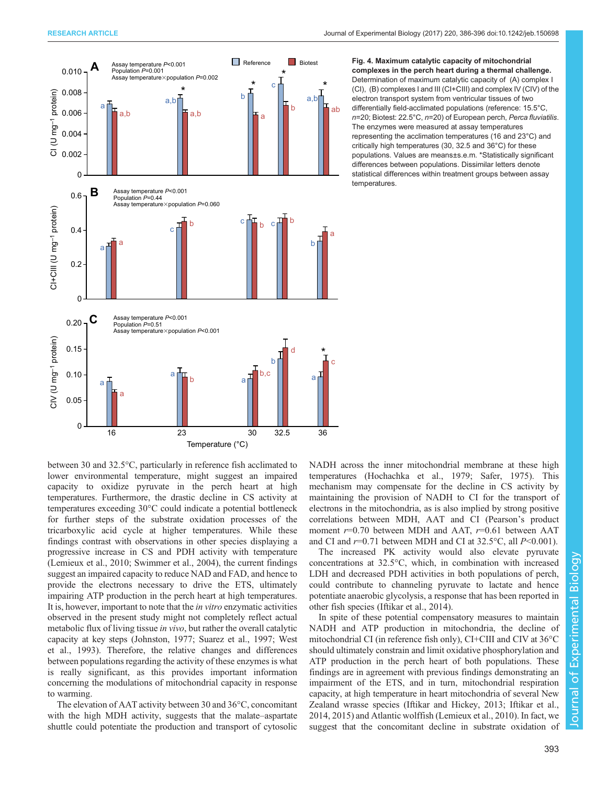<span id="page-7-0"></span>

Fig. 4. Maximum catalytic capacity of mitochondrial complexes in the perch heart during a thermal challenge. Determination of maximum catalytic capacity of (A) complex I (CI), (B) complexes I and III (CI+CIII) and complex IV (CIV) of the electron transport system from ventricular tissues of two differentially field-acclimated populations (reference: 15.5°C, n=20; Biotest: 22.5°C, n=20) of European perch, Perca fluviatilis. The enzymes were measured at assay temperatures representing the acclimation temperatures (16 and 23°C) and critically high temperatures (30, 32.5 and 36°C) for these populations. Values are means±s.e.m. \*Statistically significant differences between populations. Dissimilar letters denote statistical differences within treatment groups between assay temperatures.

between 30 and 32.5°C, particularly in reference fish acclimated to lower environmental temperature, might suggest an impaired capacity to oxidize pyruvate in the perch heart at high temperatures. Furthermore, the drastic decline in CS activity at temperatures exceeding 30°C could indicate a potential bottleneck for further steps of the substrate oxidation processes of the tricarboxylic acid cycle at higher temperatures. While these findings contrast with observations in other species displaying a progressive increase in CS and PDH activity with temperature [\(Lemieux et al., 2010](#page-10-0); [Swimmer et al., 2004](#page-10-0)), the current findings suggest an impaired capacity to reduce NAD and FAD, and hence to provide the electrons necessary to drive the ETS, ultimately impairing ATP production in the perch heart at high temperatures. It is, however, important to note that the in vitro enzymatic activities observed in the present study might not completely reflect actual metabolic flux of living tissue in vivo, but rather the overall catalytic capacity at key steps ([Johnston, 1977](#page-10-0); [Suarez et al., 1997; West](#page-10-0) [et al., 1993\)](#page-10-0). Therefore, the relative changes and differences between populations regarding the activity of these enzymes is what is really significant, as this provides important information concerning the modulations of mitochondrial capacity in response to warming.

The elevation of AAT activity between 30 and 36°C, concomitant with the high MDH activity, suggests that the malate–aspartate shuttle could potentiate the production and transport of cytosolic

NADH across the inner mitochondrial membrane at these high temperatures ([Hochachka et al., 1979](#page-10-0); [Safer, 1975\)](#page-10-0). This mechanism may compensate for the decline in CS activity by maintaining the provision of NADH to CI for the transport of electrons in the mitochondria, as is also implied by strong positive correlations between MDH, AAT and CI (Pearson's product moment  $r=0.70$  between MDH and AAT,  $r=0.61$  between AAT and CI and  $r=0.71$  between MDH and CI at 32.5°C, all  $P<0.001$ ).

The increased PK activity would also elevate pyruvate concentrations at 32.5°C, which, in combination with increased LDH and decreased PDH activities in both populations of perch, could contribute to channeling pyruvate to lactate and hence potentiate anaerobic glycolysis, a response that has been reported in other fish species ([Iftikar et al., 2014\)](#page-10-0).

In spite of these potential compensatory measures to maintain NADH and ATP production in mitochondria, the decline of mitochondrial CI (in reference fish only), CI+CIII and CIV at 36°C should ultimately constrain and limit oxidative phosphorylation and ATP production in the perch heart of both populations. These findings are in agreement with previous findings demonstrating an impairment of the ETS, and in turn, mitochondrial respiration capacity, at high temperature in heart mitochondria of several New Zealand wrasse species [\(Iftikar and Hickey, 2013;](#page-10-0) Iftikar et al., [2014, 2015](#page-10-0)) and Atlantic wolffish ([Lemieux et al., 2010\)](#page-10-0). In fact, we suggest that the concomitant decline in substrate oxidation of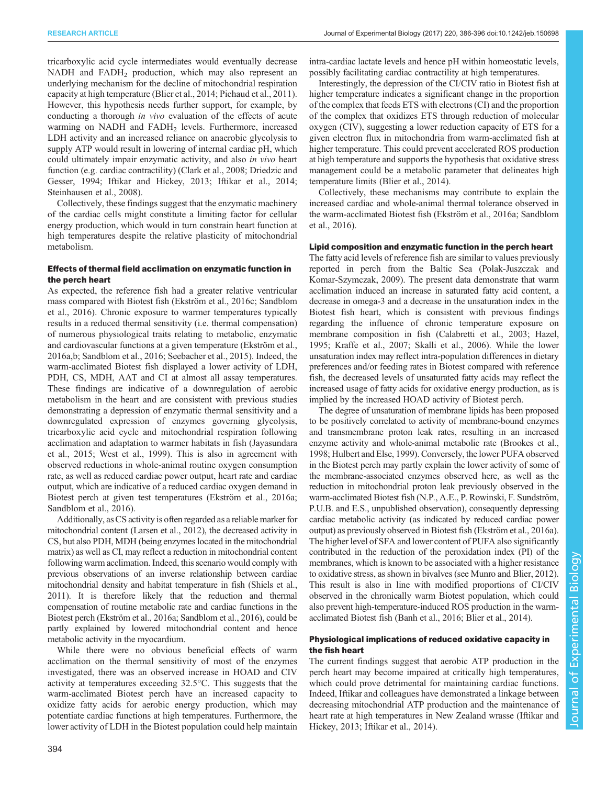tricarboxylic acid cycle intermediates would eventually decrease NADH and FADH<sub>2</sub> production, which may also represent an underlying mechanism for the decline of mitochondrial respiration capacity at high temperature [\(Blier et al., 2014](#page-9-0); [Pichaud et al., 2011\)](#page-10-0). However, this hypothesis needs further support, for example, by conducting a thorough in vivo evaluation of the effects of acute warming on NADH and FADH<sub>2</sub> levels. Furthermore, increased LDH activity and an increased reliance on anaerobic glycolysis to supply ATP would result in lowering of internal cardiac pH, which could ultimately impair enzymatic activity, and also in vivo heart function (e.g. cardiac contractility) ([Clark et al., 2008](#page-9-0); [Driedzic and](#page-9-0) [Gesser, 1994;](#page-9-0) [Iftikar and Hickey, 2013](#page-10-0); [Iftikar et al., 2014](#page-10-0); [Steinhausen et al., 2008\)](#page-10-0).

Collectively, these findings suggest that the enzymatic machinery of the cardiac cells might constitute a limiting factor for cellular energy production, which would in turn constrain heart function at high temperatures despite the relative plasticity of mitochondrial metabolism.

## Effects of thermal field acclimation on enzymatic function in the perch heart

As expected, the reference fish had a greater relative ventricular mass compared with Biotest fish [\(Ekström et al., 2016c; Sandblom](#page-10-0) [et al., 2016\)](#page-10-0). Chronic exposure to warmer temperatures typically results in a reduced thermal sensitivity (i.e. thermal compensation) of numerous physiological traits relating to metabolic, enzymatic and cardiovascular functions at a given temperature ([Ekström et al.,](#page-10-0) [2016a](#page-10-0),[b](#page-10-0); [Sandblom et al., 2016; Seebacher et al., 2015\)](#page-10-0). Indeed, the warm-acclimated Biotest fish displayed a lower activity of LDH, PDH, CS, MDH, AAT and CI at almost all assay temperatures. These findings are indicative of a downregulation of aerobic metabolism in the heart and are consistent with previous studies demonstrating a depression of enzymatic thermal sensitivity and a downregulated expression of enzymes governing glycolysis, tricarboxylic acid cycle and mitochondrial respiration following acclimation and adaptation to warmer habitats in fish [\(Jayasundara](#page-10-0) [et al., 2015; West et al., 1999\)](#page-10-0). This is also in agreement with observed reductions in whole-animal routine oxygen consumption rate, as well as reduced cardiac power output, heart rate and cardiac output, which are indicative of a reduced cardiac oxygen demand in Biotest perch at given test temperatures ([Ekström et al., 2016a](#page-10-0); [Sandblom et al., 2016\)](#page-10-0).

Additionally, as CS activity is often regarded as a reliable marker for mitochondrial content ([Larsen et al., 2012](#page-10-0)), the decreased activity in CS, but also PDH, MDH (being enzymes located in the mitochondrial matrix) as well as CI, may reflect a reduction in mitochondrial content following warm acclimation. Indeed, this scenario would comply with previous observations of an inverse relationship between cardiac mitochondrial density and habitat temperature in fish [\(Shiels et al.,](#page-10-0) [2011\)](#page-10-0). It is therefore likely that the reduction and thermal compensation of routine metabolic rate and cardiac functions in the Biotest perch ([Ekström et al., 2016a; Sandblom et al., 2016\)](#page-10-0), could be partly explained by lowered mitochondrial content and hence metabolic activity in the myocardium.

While there were no obvious beneficial effects of warm acclimation on the thermal sensitivity of most of the enzymes investigated, there was an observed increase in HOAD and CIV activity at temperatures exceeding 32.5°C. This suggests that the warm-acclimated Biotest perch have an increased capacity to oxidize fatty acids for aerobic energy production, which may potentiate cardiac functions at high temperatures. Furthermore, the lower activity of LDH in the Biotest population could help maintain

Interestingly, the depression of the CI/CIV ratio in Biotest fish at higher temperature indicates a significant change in the proportion of the complex that feeds ETS with electrons (CI) and the proportion of the complex that oxidizes ETS through reduction of molecular oxygen (CIV), suggesting a lower reduction capacity of ETS for a given electron flux in mitochondria from warm-acclimated fish at higher temperature. This could prevent accelerated ROS production at high temperature and supports the hypothesis that oxidative stress management could be a metabolic parameter that delineates high temperature limits ([Blier et al., 2014\)](#page-9-0).

Collectively, these mechanisms may contribute to explain the increased cardiac and whole-animal thermal tolerance observed in the warm-acclimated Biotest fish ([Ekström et al., 2016a; Sandblom](#page-10-0) [et al., 2016\)](#page-10-0).

## Lipid composition and enzymatic function in the perch heart

The fatty acid levels of reference fish are similar to values previously reported in perch from the Baltic Sea [\(Polak-Juszczak and](#page-10-0) [Komar-Szymczak, 2009\)](#page-10-0). The present data demonstrate that warm acclimation induced an increase in saturated fatty acid content, a decrease in omega-3 and a decrease in the unsaturation index in the Biotest fish heart, which is consistent with previous findings regarding the influence of chronic temperature exposure on membrane composition in fish ([Calabretti et al., 2003](#page-9-0); [Hazel,](#page-10-0) [1995; Kraffe et al., 2007; Skalli et al., 2006](#page-10-0)). While the lower unsaturation index may reflect intra-population differences in dietary preferences and/or feeding rates in Biotest compared with reference fish, the decreased levels of unsaturated fatty acids may reflect the increased usage of fatty acids for oxidative energy production, as is implied by the increased HOAD activity of Biotest perch.

The degree of unsaturation of membrane lipids has been proposed to be positively correlated to activity of membrane-bound enzymes and transmembrane proton leak rates, resulting in an increased enzyme activity and whole-animal metabolic rate ([Brookes et al.,](#page-9-0) [1998;](#page-9-0) [Hulbert and Else, 1999\)](#page-10-0). Conversely, the lower PUFA observed in the Biotest perch may partly explain the lower activity of some of the membrane-associated enzymes observed here, as well as the reduction in mitochondrial proton leak previously observed in the warm-acclimated Biotest fish (N.P., A.E., P. Rowinski, F. Sundström, P.U.B. and E.S., unpublished observation), consequently depressing cardiac metabolic activity (as indicated by reduced cardiac power output) as previously observed in Biotest fish [\(Ekström et al., 2016a\)](#page-10-0). The higher level of SFA and lower content of PUFA also significantly contributed in the reduction of the peroxidation index (PI) of the membranes, which is known to be associated with a higher resistance to oxidative stress, as shown in bivalves (see [Munro and Blier, 2012\)](#page-10-0). This result is also in line with modified proportions of CI/CIV observed in the chronically warm Biotest population, which could also prevent high-temperature-induced ROS production in the warmacclimated Biotest fish [\(Banh et al., 2016](#page-9-0); [Blier et al., 2014](#page-9-0)).

## Physiological implications of reduced oxidative capacity in the fish heart

The current findings suggest that aerobic ATP production in the perch heart may become impaired at critically high temperatures, which could prove detrimental for maintaining cardiac functions. Indeed, Iftikar and colleagues have demonstrated a linkage between decreasing mitochondrial ATP production and the maintenance of heart rate at high temperatures in New Zealand wrasse [\(Iftikar and](#page-10-0) [Hickey, 2013; Iftikar et al., 2014](#page-10-0)).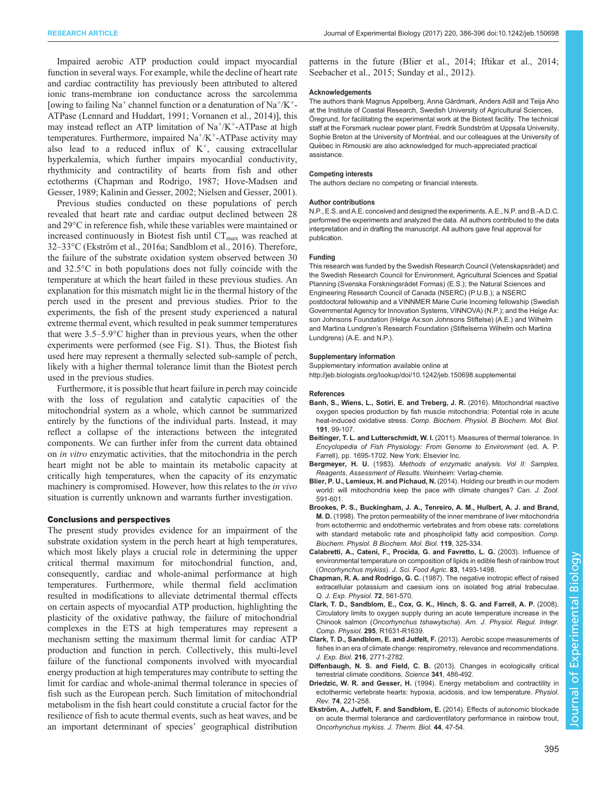<span id="page-9-0"></span>Impaired aerobic ATP production could impact myocardial function in several ways. For example, while the decline of heart rate and cardiac contractility has previously been attributed to altered ionic trans-membrane ion conductance across the sarcolemma [owing to failing  $Na^+$  channel function or a denaturation of  $Na^+/K^+$ -ATPase ([Lennard and Huddart, 1991](#page-10-0); [Vornanen et al., 2014](#page-10-0))], this may instead reflect an ATP limitation of  $Na^+/K^+$ -ATPase at high temperatures. Furthermore, impaired  $Na<sup>+</sup>/K<sup>+</sup>-ATP$ ase activity may also lead to a reduced influx of  $K^+$ , causing extracellular hyperkalemia, which further impairs myocardial conductivity, rhythmicity and contractility of hearts from fish and other ectotherms (Chapman and Rodrigo, 1987; [Hove-Madsen and](#page-10-0) [Gesser, 1989; Kalinin and Gesser, 2002](#page-10-0); [Nielsen and Gesser, 2001\)](#page-10-0).

Previous studies conducted on these populations of perch revealed that heart rate and cardiac output declined between 28 and 29°C in reference fish, while these variables were maintained or increased continuously in Biotest fish until  $CT_{max}$  was reached at 32–33°C [\(Ekström et al., 2016a; Sandblom et al., 2016](#page-10-0)). Therefore, the failure of the substrate oxidation system observed between 30 and 32.5°C in both populations does not fully coincide with the temperature at which the heart failed in these previous studies. An explanation for this mismatch might lie in the thermal history of the perch used in the present and previous studies. Prior to the experiments, the fish of the present study experienced a natural extreme thermal event, which resulted in peak summer temperatures that were 3.5–5.9°C higher than in previous years, when the other experiments were performed (see [Fig. S1\)](http://jeb.biologists.org/lookup/doi/10.1242/jeb.150698.supplemental). Thus, the Biotest fish used here may represent a thermally selected sub-sample of perch, likely with a higher thermal tolerance limit than the Biotest perch used in the previous studies.

Furthermore, it is possible that heart failure in perch may coincide with the loss of regulation and catalytic capacities of the mitochondrial system as a whole, which cannot be summarized entirely by the functions of the individual parts. Instead, it may reflect a collapse of the interactions between the integrated components. We can further infer from the current data obtained on in vitro enzymatic activities, that the mitochondria in the perch heart might not be able to maintain its metabolic capacity at critically high temperatures, when the capacity of its enzymatic machinery is compromised. However, how this relates to the in vivo situation is currently unknown and warrants further investigation.

#### Conclusions and perspectives

The present study provides evidence for an impairment of the substrate oxidation system in the perch heart at high temperatures, which most likely plays a crucial role in determining the upper critical thermal maximum for mitochondrial function, and, consequently, cardiac and whole-animal performance at high temperatures. Furthermore, while thermal field acclimation resulted in modifications to alleviate detrimental thermal effects on certain aspects of myocardial ATP production, highlighting the plasticity of the oxidative pathway, the failure of mitochondrial complexes in the ETS at high temperatures may represent a mechanism setting the maximum thermal limit for cardiac ATP production and function in perch. Collectively, this multi-level failure of the functional components involved with myocardial energy production at high temperatures may contribute to setting the limit for cardiac and whole-animal thermal tolerance in species of fish such as the European perch. Such limitation of mitochondrial metabolism in the fish heart could constitute a crucial factor for the resilience of fish to acute thermal events, such as heat waves, and be an important determinant of species' geographical distribution

patterns in the future (Blier et al., 2014; [Iftikar et al., 2014](#page-10-0); [Seebacher et al., 2015](#page-10-0); [Sunday et al., 2012](#page-10-0)).

#### Acknowledgements

The authors thank Magnus Appelberg, Anna Gårdmark, Anders Adill and Teija Aho at the Institute of Coastal Research, Swedish University of Agricultural Sciences, Öregrund, for facilitating the experimental work at the Biotest facility. The technical staff at the Forsmark nuclear power plant, Fredrik Sundström at Uppsala University, Sophie Breton at the University of Montréal, and our colleagues at the University of Québec in Rimouski are also acknowledged for much-appreciated practical assistance.

#### Competing interests

The authors declare no competing or financial interests.

#### Author contributions

N.P., E.S. and A.E. conceived and designed the experiments. A.E., N.P. and B.-A.D.C. performed the experiments and analyzed the data. All authors contributed to the data interpretation and in drafting the manuscript. All authors gave final approval for publication.

#### Funding

This research was funded by the Swedish Research Council (Vetenskapsrådet) and the Swedish Research Council for Environment, Agricultural Sciences and Spatial Planning (Svenska Forskningsrådet Formas) (E.S.); the Natural Sciences and Engineering Research Council of Canada (NSERC) (P.U.B.); a NSERC postdoctoral fellowship and a VINNMER Marie Curie Incoming fellowship (Swedish Governmental Agency for Innovation Systems, VINNOVA) (N.P.); and the Helge Ax: son Johnsons Foundation (Helge Ax:son Johnsons Stiftelse) (A.E.) and Wilhelm and Martina Lundgren's Research Foundation (Stiftelserna Wilhelm och Martina Lundgrens) (A.E. and N.P.).

#### Supplementary information

Supplementary information available online at <http://jeb.biologists.org/lookup/doi/10.1242/jeb.150698.supplemental>

## References

- [Banh, S., Wiens, L., Sotiri, E. and Treberg, J. R.](http://dx.doi.org/10.1016/j.cbpb.2015.10.001) (2016). Mitochondrial reactive [oxygen species production by fish muscle mitochondria: Potential role in acute](http://dx.doi.org/10.1016/j.cbpb.2015.10.001) heat-induced oxidative stress. [Comp. Biochem. Physiol. B Biochem. Mol. Biol.](http://dx.doi.org/10.1016/j.cbpb.2015.10.001) 191[, 99-107.](http://dx.doi.org/10.1016/j.cbpb.2015.10.001)
- Beitinger, T. L. and Lutterschmidt, W. I. (2011). Measures of thermal tolerance. In Encyclopedia of Fish Physiology: From Genome to Environment (ed. A. P. Farrell), pp. 1695-1702. New York: Elsevier Inc.
- Bergmeyer, H. U. (1983). Methods of enzymatic analysis. Vol II: Samples, Reagents, Assessment of Results. Weinheim: Verlag-chemie.
- [Blier, P. U., Lemieux, H. and Pichaud, N.](http://dx.doi.org/10.1139/cjz-2013-0183) (2014). Holding our breath in our modern [world: will mitochondria keep the pace with climate changes?](http://dx.doi.org/10.1139/cjz-2013-0183) Can. J. Zool. [591-601.](http://dx.doi.org/10.1139/cjz-2013-0183)
- [Brookes, P. S., Buckingham, J. A., Tenreiro, A. M., Hulbert, A. J. and Brand,](http://dx.doi.org/10.1016/S0305-0491(97)00357-X) M. D. [\(1998\). The proton permeability of the inner membrane of liver mitochondria](http://dx.doi.org/10.1016/S0305-0491(97)00357-X) [from ectothermic and endothermic vertebrates and from obese rats: correlations](http://dx.doi.org/10.1016/S0305-0491(97)00357-X) [with standard metabolic rate and phospholipid fatty acid composition.](http://dx.doi.org/10.1016/S0305-0491(97)00357-X) Comp. [Biochem. Physiol. B Biochem. Mol. Biol.](http://dx.doi.org/10.1016/S0305-0491(97)00357-X) 119, 325-334.
- [Calabretti, A., Cateni, F., Procida, G. and Favretto, L. G.](http://dx.doi.org/10.1002/jsfa.1566) (2003). Influence of [environmental temperature on composition of lipids in edible flesh of rainbow trout](http://dx.doi.org/10.1002/jsfa.1566) ([Oncorhynchus mykiss](http://dx.doi.org/10.1002/jsfa.1566)). J. Sci. Food Agric. 83, 1493-1498.
- Chapman, R. A. and Rodrigo, G. C. [\(1987\). The negative inotropic effect of raised](http://dx.doi.org/10.1113/expphysiol.1987.sp003097) [extracellular potassium and caesium ions on isolated frog atrial trabeculae.](http://dx.doi.org/10.1113/expphysiol.1987.sp003097) [Q. J. Exp. Physiol.](http://dx.doi.org/10.1113/expphysiol.1987.sp003097) 72, 561-570.
- [Clark, T. D., Sandblom, E., Cox, G. K., Hinch, S. G. and Farrell, A. P.](http://dx.doi.org/10.1152/ajpregu.90461.2008) (2008). [Circulatory limits to oxygen supply during an acute temperature increase in the](http://dx.doi.org/10.1152/ajpregu.90461.2008) Chinook salmon (Oncorhynchus tshawytscha). [Am. J. Physiol. Regul. Integr.](http://dx.doi.org/10.1152/ajpregu.90461.2008) Comp. Physiol. 295[, R1631-R1639.](http://dx.doi.org/10.1152/ajpregu.90461.2008)
- [Clark, T. D., Sandblom, E. and Jutfelt, F.](http://dx.doi.org/10.1242/jeb.084251) (2013). Aerobic scope measurements of [fishes in an era of climate change: respirometry, relevance and recommendations.](http://dx.doi.org/10.1242/jeb.084251) J. Exp. Biol. 216[, 2771-2782.](http://dx.doi.org/10.1242/jeb.084251)
- Diffenbaugh, N. S. and Field, C. B. [\(2013\). Changes in ecologically critical](http://dx.doi.org/10.1126/science.1237123) [terrestrial climate conditions.](http://dx.doi.org/10.1126/science.1237123) Science 341, 486-492.
- Driedzic, W. R. and Gesser, H. (1994). Energy metabolism and contractility in ectothermic vertebrate hearts: hypoxia, acidosis, and low temperature. Physiol. Rev. 74, 221-258.
- Ekström, A., Jutfelt, F. and Sandblom, E. [\(2014\). Effects of autonomic blockade](http://dx.doi.org/10.1016/j.jtherbio.2014.06.002) [on acute thermal tolerance and cardioventilatory performance in rainbow trout,](http://dx.doi.org/10.1016/j.jtherbio.2014.06.002) [Oncorhynchus mykiss](http://dx.doi.org/10.1016/j.jtherbio.2014.06.002). J. Therm. Biol. 44, 47-54.